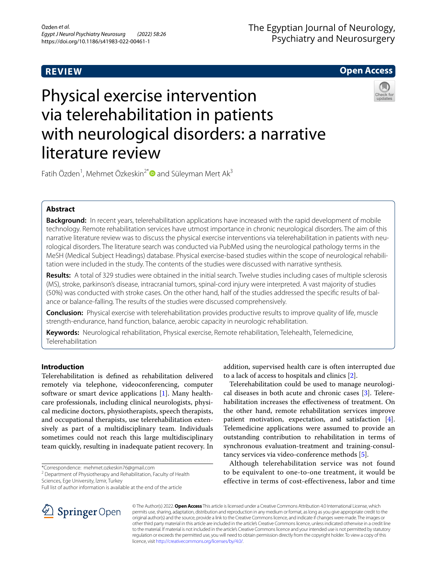# **REVIEW**

# **Open Access**



# Physical exercise intervention via telerehabilitation in patients with neurological disorders: a narrative literature review

Fatih Özden<sup>1</sup>, Mehmet Özkeskin<sup>2[\\*](http://orcid.org/0000-0002-6892-0108)</sup> and Süleyman Mert Ak<sup>3</sup>

# **Abstract**

**Background:** In recent years, telerehabilitation applications have increased with the rapid development of mobile technology. Remote rehabilitation services have utmost importance in chronic neurological disorders. The aim of this narrative literature review was to discuss the physical exercise interventions via telerehabilitation in patients with neurological disorders. The literature search was conducted via PubMed using the neurological pathology terms in the MeSH (Medical Subject Headings) database. Physical exercise-based studies within the scope of neurological rehabilitation were included in the study. The contents of the studies were discussed with narrative synthesis.

**Results:** A total of 329 studies were obtained in the initial search. Twelve studies including cases of multiple sclerosis (MS), stroke, parkinson's disease, intracranial tumors, spinal-cord injury were interpreted. A vast majority of studies (50%) was conducted with stroke cases. On the other hand, half of the studies addressed the specifc results of balance or balance-falling. The results of the studies were discussed comprehensively.

**Conclusion:** Physical exercise with telerehabilitation provides productive results to improve quality of life, muscle strength-endurance, hand function, balance, aerobic capacity in neurologic rehabilitation.

**Keywords:** Neurological rehabilitation, Physical exercise, Remote rehabilitation, Telehealth, Telemedicine, Telerehabilitation

# **Introduction**

Telerehabilitation is defned as rehabilitation delivered remotely via telephone, videoconferencing, computer software or smart device applications [\[1](#page-7-0)]. Many healthcare professionals, including clinical neurologists, physical medicine doctors, physiotherapists, speech therapists, and occupational therapists, use telerehabilitation extensively as part of a multidisciplinary team. Individuals sometimes could not reach this large multidisciplinary team quickly, resulting in inadequate patient recovery. In

\*Correspondence: mehmet.ozkeskin76@gmail.com

<sup>2</sup> Department of Physiotherapy and Rehabilitation, Faculty of Health Sciences, Ege University, İzmir, Turkey

Full list of author information is available at the end of the article



addition, supervised health care is often interrupted due to a lack of access to hospitals and clinics [\[2](#page-7-1)].

Telerehabilitation could be used to manage neurological diseases in both acute and chronic cases [\[3](#page-7-2)]. Telerehabilitation increases the effectiveness of treatment. On the other hand, remote rehabilitation services improve patient motivation, expectation, and satisfaction [\[4](#page-7-3)]. Telemedicine applications were assumed to provide an outstanding contribution to rehabilitation in terms of synchronous evaluation-treatment and training-consultancy services via video-conference methods [\[5](#page-7-4)].

Although telerehabilitation service was not found to be equivalent to one-to-one treatment, it would be effective in terms of cost-effectiveness, labor and time

© The Author(s) 2022. **Open Access** This article is licensed under a Creative Commons Attribution 4.0 International License, which permits use, sharing, adaptation, distribution and reproduction in any medium or format, as long as you give appropriate credit to the original author(s) and the source, provide a link to the Creative Commons licence, and indicate if changes were made. The images or other third party material in this article are included in the article's Creative Commons licence, unless indicated otherwise in a credit line to the material. If material is not included in the article's Creative Commons licence and your intended use is not permitted by statutory regulation or exceeds the permitted use, you will need to obtain permission directly from the copyright holder. To view a copy of this licence, visit [http://creativecommons.org/licenses/by/4.0/.](http://creativecommons.org/licenses/by/4.0/)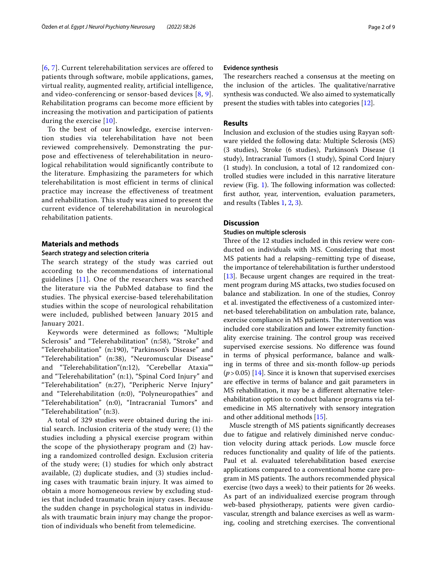[[6](#page-7-5), [7](#page-7-6)]. Current telerehabilitation services are offered to patients through software, mobile applications, games, virtual reality, augmented reality, artificial intelligence, and video-conferencing or sensor-based devices [\[8](#page-7-7), [9\]](#page-7-8). Rehabilitation programs can become more efficient by increasing the motivation and participation of patients during the exercise [[10](#page-7-9)].

To the best of our knowledge, exercise intervention studies via telerehabilitation have not been reviewed comprehensively. Demonstrating the purpose and effectiveness of telerehabilitation in neurological rehabilitation would significantly contribute to the literature. Emphasizing the parameters for which telerehabilitation is most efficient in terms of clinical practice may increase the effectiveness of treatment and rehabilitation. This study was aimed to present the current evidence of telerehabilitation in neurological rehabilitation patients.

# **Materials and methods**

#### **Search strategy and selection criteria**

The search strategy of the study was carried out according to the recommendations of international guidelines [[11\]](#page-7-10). One of the researchers was searched the literature via the PubMed database to find the studies. The physical exercise-based telerehabilitation studies within the scope of neurological rehabilitation were included, published between January 2015 and January 2021.

Keywords were determined as follows; "Multiple Sclerosis" and "Telerehabilitation" (n:58), "Stroke" and "Telerehabilitation" (n:190), "Parkinson's Disease" and "Telerehabilitation" (n:38), "Neuromuscular Disease" and "Telerehabilitation"(n:12), "Cerebellar Ataxia"" and "Telerehabilitation" (n:1), "Spinal Cord Injury" and "Telerehabilitation" (n:27), "Peripheric Nerve Injury" and "Telerehabilitation (n:0), "Polyneuropathies" and "Telerehabilitation" (n:0), "Intracranial Tumors" and "Telerehabilitation" (n:3).

A total of 329 studies were obtained during the initial search. Inclusion criteria of the study were; (1) the studies including a physical exercise program within the scope of the physiotherapy program and (2) having a randomized controlled design. Exclusion criteria of the study were; (1) studies for which only abstract available, (2) duplicate studies, and (3) studies including cases with traumatic brain injury. It was aimed to obtain a more homogeneous review by excluding studies that included traumatic brain injury cases. Because the sudden change in psychological status in individuals with traumatic brain injury may change the proportion of individuals who beneft from telemedicine.

## **Evidence synthesis**

The researchers reached a consensus at the meeting on the inclusion of the articles. The qualitative/narrative synthesis was conducted. We also aimed to systematically present the studies with tables into categories [[12](#page-7-11)].

# **Results**

Inclusion and exclusion of the studies using Rayyan software yielded the following data: Multiple Sclerosis (MS) (3 studies), Stroke (6 studies), Parkinson's Disease (1 study), Intracranial Tumors (1 study), Spinal Cord Injury (1 study). In conclusion, a total of 12 randomized controlled studies were included in this narrative literature review (Fig. [1\)](#page-2-0). The following information was collected: frst author, year, intervention, evaluation parameters, and results (Tables [1](#page-3-0), [2,](#page-4-0) [3](#page-5-0)).

## **Discussion**

# **Studies on multiple sclerosis**

Three of the 12 studies included in this review were conducted on individuals with MS. Considering that most MS patients had a relapsing–remitting type of disease, the importance of telerehabilitation is further understood [ $13$ ]. Because urgent changes are required in the treatment program during MS attacks, two studies focused on balance and stabilization. In one of the studies, Conroy et al. investigated the efectiveness of a customized internet-based telerehabilitation on ambulation rate, balance, exercise compliance in MS patients. The intervention was included core stabilization and lower extremity functionality exercise training. The control group was received supervised exercise sessions. No diference was found in terms of physical performance, balance and walking in terms of three and six-month follow-up periods  $(p > 0.05)$  [[14\]](#page-7-13). Since it is known that supervised exercises are efective in terms of balance and gait parameters in MS rehabilitation, it may be a diferent alternative telerehabilitation option to conduct balance programs via telemedicine in MS alternatively with sensory integration and other additional methods [\[15](#page-7-14)].

Muscle strength of MS patients signifcantly decreases due to fatigue and relatively diminished nerve conduction velocity during attack periods. Low muscle force reduces functionality and quality of life of the patients. Paul et al. evaluated telerehabilitation based exercise applications compared to a conventional home care program in MS patients. The authors recommended physical exercise (two days a week) to their patients for 26 weeks. As part of an individualized exercise program through web-based physiotherapy, patients were given cardiovascular, strength and balance exercises as well as warming, cooling and stretching exercises. The conventional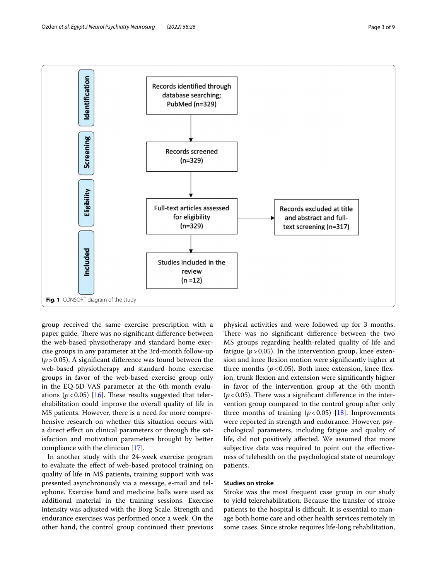

<span id="page-2-0"></span>group received the same exercise prescription with a paper guide. There was no significant difference between the web-based physiotherapy and standard home exercise groups in any parameter at the 3rd-month follow-up (*p*>0.05). A signifcant diference was found between the web-based physiotherapy and standard home exercise groups in favor of the web-based exercise group only in the EQ-5D-VAS parameter at the 6th-month evaluations  $(p<0.05)$  [\[16](#page-7-15)]. These results suggested that telerehabilitation could improve the overall quality of life in MS patients. However, there is a need for more comprehensive research on whether this situation occurs with a direct efect on clinical parameters or through the satisfaction and motivation parameters brought by better compliance with the clinician [\[17\]](#page-7-16).

In another study with the 24-week exercise program to evaluate the efect of web-based protocol training on quality of life in MS patients, training support with was presented asynchronously via a message, e-mail and telephone. Exercise band and medicine balls were used as additional material in the training sessions. Exercise intensity was adjusted with the Borg Scale. Strength and endurance exercises was performed once a week. On the other hand, the control group continued their previous physical activities and were followed up for 3 months. There was no significant difference between the two MS groups regarding health-related quality of life and fatigue  $(p > 0.05)$ . In the intervention group, knee extension and knee fexion motion were signifcantly higher at three months  $(p<0.05)$ . Both knee extension, knee flexion, trunk flexion and extension were significantly higher in favor of the intervention group at the 6th month  $(p<0.05)$ . There was a significant difference in the intervention group compared to the control group after only three months of training  $(p<0.05)$  [\[18\]](#page-7-17). Improvements were reported in strength and endurance. However, psychological parameters, including fatigue and quality of life, did not positively afected. We assumed that more subjective data was required to point out the efectiveness of telehealth on the psychological state of neurology patients.

# **Studies on stroke**

Stroke was the most frequent case group in our study to yield telerehabilitation. Because the transfer of stroke patients to the hospital is difficult. It is essential to manage both home care and other health services remotely in some cases. Since stroke requires life-long rehabilitation,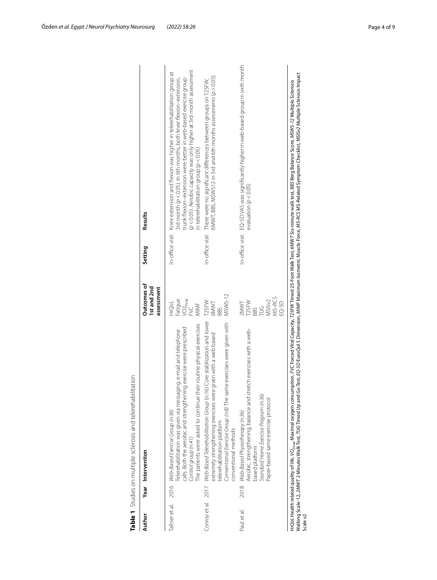| Author         | Year Intervention                                                                                                                                                                                                                                                                         | Outcomes of<br>Ist and 2nd<br>assessment                                       | Setting | Results                                                                                                                                                                                                                                                                                                                                        |
|----------------|-------------------------------------------------------------------------------------------------------------------------------------------------------------------------------------------------------------------------------------------------------------------------------------------|--------------------------------------------------------------------------------|---------|------------------------------------------------------------------------------------------------------------------------------------------------------------------------------------------------------------------------------------------------------------------------------------------------------------------------------------------------|
|                |                                                                                                                                                                                                                                                                                           |                                                                                |         |                                                                                                                                                                                                                                                                                                                                                |
| Tallner et al. | The patients were asked to continue their routine physical exercises<br>calls. Both the aerobic and strengthening exercise were prescribed<br>Telerehabilitation was given via messaging, e-mail and telephone<br>2016 Web-Based Exercise Group (n:36)<br>Control group (n:41)            | Fatigue<br>VO2 <sub>Peak</sub><br>FVC<br>HrQoL<br>MIMF                         |         | (p < 0.05). Aerobic capacity was only higher at 3rd month assessment<br>In-office visit Knee extension and flexion was higher in telerehabilitation group at<br>3rd month (p<0.05). In 6th months, both knee flexion–extension,<br>trunk flexion-extension were better in web-based exercise group<br>in telerehabilitation group $(p < 0.05)$ |
|                | Conroy et al. 2017 Web-Based Telerehabilitation Group (n:16) Core stabilization and lower<br>Conventional Exercise Group (n:8) The same exercises were given with<br>extremity strengthening exercises were given with a web based<br>telerehabilitation platform<br>conventional methods | MSWS-12<br>T25FW<br><b>GMWT</b><br>BBS                                         |         | $6NNT$ , BBS, MSWS12 in 3rd and 6th months assessments ( $p > 0.05$ )<br>In-office visit There were no significant differences between groups on T25FW,                                                                                                                                                                                        |
| Paul et al.    | retch exercises with a web-<br>Aerobic, strengthening, balance and st<br>Standard Home Exercise Program (n:36)<br>Paper-based same exercise protocol<br>2018 Web-Based Physiotherapy (n:36)<br>based platform                                                                             | MS-RCS<br>MSIS <sub>v2</sub><br>2MWT<br>T25FW<br>EQ-5D<br>$\frac{6}{2}$<br>3BS |         | In-office visit EQ-5DVAS was significantly higher in web-based group in sixth month<br>evaluation ( $p < 0.05$ )                                                                                                                                                                                                                               |

<span id="page-3-0"></span>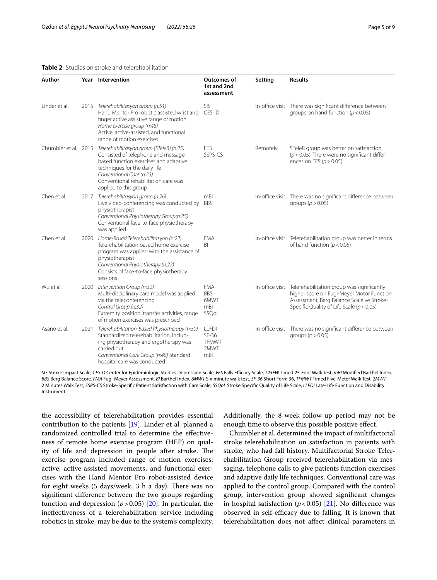## <span id="page-4-0"></span>**Table 2** Studies on stroke and telerehabilitation

| Author        |      | Year Intervention                                                                                                                                                                                                                                                           | Outcomes of<br>1st and 2nd<br>assessment               | Setting  | <b>Results</b>                                                                                                                                                                                        |
|---------------|------|-----------------------------------------------------------------------------------------------------------------------------------------------------------------------------------------------------------------------------------------------------------------------------|--------------------------------------------------------|----------|-------------------------------------------------------------------------------------------------------------------------------------------------------------------------------------------------------|
| Linder et al. |      | 2015 Telerehabilitasyon group (n:51)<br>Hand Mentor Pro robotic assisted wrist and<br>finger active assistive range of motion<br>Home exercise group (n:48)<br>Active, active-assisted, and functional<br>range of motion exercises                                         | <b>SIS</b><br>CES-D                                    |          | In-office visit There was significant difference between<br>groups on hand function ( $p < 0.05$ )                                                                                                    |
|               |      | Chumbler et al. 2015 Telerehabilitasyon group (STeleR) (n:25)<br>Consisted of telephone and message-<br>based function exercises and adaptive<br>techniques for the daily life<br>Conventional Care (n:23)<br>Conventional rehabilitation care was<br>applied to this group | FES<br>SSPS-CS                                         | Remotely | STeleR group was better on satisfaction<br>$(p < 0.05)$ . There were no significant differ-<br>ences on FES ( $p > 0.05$ )                                                                            |
| Chen et al.   |      | 2017 Telerehabilitasyon group (n:26)<br>Live video-conferencing was conducted by<br>physiotherapist<br>Conventional Physiotherapy Group(n:25)<br>Conventional face-to-face physiotherapy<br>was applied                                                                     | mBl<br><b>BBS</b>                                      |          | In-office visit There was no significant difference between<br>groups ( $p > 0.05$ )                                                                                                                  |
| Chen et al.   |      | 2020 Home-Based Telerehabilitasyon (n:22)<br>Telerehabilitation based home exercise<br>program was applied with the assistance of<br>physiotherapist<br>Conventional Physiotherapy (n:22)<br>Consists of face-to-face physiotherapy<br>sessions                             | <b>FMA</b><br>BI                                       |          | In-office visit Telerehabilitation group was better in terms<br>of hand function ( $p < 0.05$ )                                                                                                       |
| Wu et al.     |      | 2020 Intervention Group (n:32)<br>Multi-disciplinary care model was applied<br>via the teleconferencing<br>Control Group (n:32)<br>Extremity position, transfer activities, range<br>of motion exercises was prescribed                                                     | <b>FMA</b><br><b>BBS</b><br>6MWT<br>mB<br>SSQoL        |          | In-office visit Telerehabilitation group was significantly<br>higher score on Fugl-Meyer Motor Function<br>Assessment, Berg Balance Scale ve Stroke-<br>Specific Quality of Life Scale ( $p < 0.05$ ) |
| Asano et al.  | 2021 | Telerehabilitation-Based Physiotherapy (n:50)<br>Standardized telerehabilitation, includ-<br>ing physiotherapy and ergotherapy was<br>carried out<br>Conventional Care Group (n:48) Standard<br>hospital care was conducted                                                 | <b>LLFDI</b><br>$SF-36$<br><b>TFMWT</b><br>2MWT<br>mBI |          | In-office visit There was no significant difference between<br>groups ( $p > 0.05$ )                                                                                                                  |

*SIS* Stroke Impact Scale, *CES-D* Center for Epidemiologic Studies Depression Scale, *FES* Falls Efcacy Scale, *T25FW* Timed 25-Foot Walk Test, *mBI* Modifed Barthel Index, *BBS* Berg Balance Score, *FMA* Fugl-Meyer Assessment, *BI* Barthel Index, *6MWT* Six-minute walk test, *SF-36* Short Form 36, *TFMWT* Timed Five-Meter Walk Test, *2MWT* 2 Minutes Walk Test, *SSPS-CS* Stroke-Specifc Patient Satisfaction with Care Scale, *SSQoL* Stroke Specifc Quality of Life Scale, *LLFDI* Late-Life Function and Disability Instrument

the accessibility of telerehabilitation provides essential contribution to the patients [[19\]](#page-7-18). Linder et al. planned a randomized controlled trial to determine the efectiveness of remote home exercise program (HEP) on quality of life and depression in people after stroke. The exercise program included range of motion exercises: active, active-assisted movements, and functional exercises with the Hand Mentor Pro robot-assisted device for eight weeks  $(5 \text{ days/week}, 3 \text{ h a day})$ . There was no signifcant diference between the two groups regarding function and depression  $(p > 0.05)$  [[20](#page-7-19)]. In particular, the inefectiveness of a telerehabilitation service including robotics in stroke, may be due to the system's complexity. Additionally, the 8-week follow-up period may not be enough time to observe this possible positive efect.

Chumbler et al. determined the impact of multifactorial stroke telerehabilitation on satisfaction in patients with stroke, who had fall history. Multifactorial Stroke Telerehabilitation Group received telerehabilitation via messaging, telephone calls to give patients function exercises and adaptive daily life techniques. Conventional care was applied to the control group. Compared with the control group, intervention group showed signifcant changes in hospital satisfaction  $(p < 0.05)$  [[21\]](#page-7-20). No difference was observed in self-efficacy due to falling. It is known that telerehabilitation does not afect clinical parameters in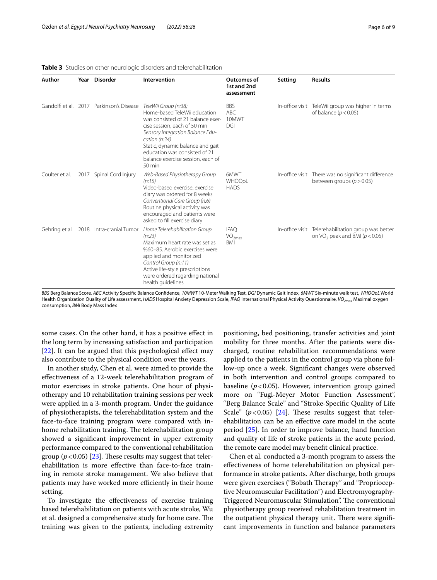| Author         | Year Disorder                            | Intervention                                                                                                                                                                                                                                                                                       | <b>Outcomes of</b><br>1st and 2nd<br>assessment            | Setting | <b>Results</b>                                                                                        |
|----------------|------------------------------------------|----------------------------------------------------------------------------------------------------------------------------------------------------------------------------------------------------------------------------------------------------------------------------------------------------|------------------------------------------------------------|---------|-------------------------------------------------------------------------------------------------------|
|                | Gandolfi et al. 2017 Parkinson's Disease | TeleWii Group (n:38)<br>Home-based TeleWii education<br>was consisted of 21 balance exer-<br>cise session, each of 50 min<br>Sensory Integration Balance Edu-<br>cation (n:34)<br>Static, dynamic balance and gait<br>education was consisted of 21<br>balance exercise session, each of<br>50 min | <b>BBS</b><br>ABC.<br>10MWT<br>DGI                         |         | In-office visit TeleWii group was higher in terms<br>of balance ( $p < 0.05$ )                        |
| Coulter et al. | 2017 Spinal Cord Injury                  | Web-Based Physiotherapy Group<br>(n:15)<br>Video-based exercise, exercise<br>diary was ordered for 8 weeks<br>Conventional Care Group (n:6)<br>Routine physical activity was<br>encouraged and patients were<br>asked to fill exercise diary                                                       | 6MWT<br>WHOQoL<br><b>HADS</b>                              |         | In-office visit There was no significant difference<br>between groups ( $p > 0.05$ )                  |
|                | Gehring et al. 2018 Intra-cranial Tumor  | Home Telerehabilitation Group<br>(n:23)<br>Maximum heart rate was set as<br>%60-85. Aerobic exercises were<br>applied and monitorized<br>Control Group (n:11)<br>Active life-style prescriptions<br>were ordered regarding national<br>health quidelines                                           | <b>IPAO</b><br>$\mathsf{VO}_{2\mathsf{max}}$<br><b>BMI</b> |         | In-office visit Telerehabilitation group was better<br>on VO <sub>2</sub> peak and BMI ( $p < 0.05$ ) |

#### <span id="page-5-0"></span>**Table 3** Studies on other neurologic disorders and telerehabilitation

*BBS* Berg Balance Score, *ABC* Activity Specifc Balance Confdence, *10MWT* 10-Meter Walking Test, *DGI* Dynamic Gait Index, *6MWT* Six-minute walk test, *WHOQoL* World Health Organization Quality of Life assessment, *HADS* Hospital Anxiety Depression Scale, *IPAQ* International Physical Activity Questionnaire, *VO2max* Maximal oxygen consumption, *BMI* Body Mass Index

some cases. On the other hand, it has a positive efect in the long term by increasing satisfaction and participation [[22\]](#page-7-21). It can be argued that this psychological effect may also contribute to the physical condition over the years.

In another study, Chen et al. were aimed to provide the efectiveness of a 12-week telerehabilitation program of motor exercises in stroke patients. One hour of physiotherapy and 10 rehabilitation training sessions per week were applied in a 3-month program. Under the guidance of physiotherapists, the telerehabilitation system and the face-to-face training program were compared with inhome rehabilitation training. The telerehabilitation group showed a signifcant improvement in upper extremity performance compared to the conventional rehabilitation group ( $p < 0.05$ ) [\[23](#page-7-22)]. These results may suggest that telerehabilitation is more efective than face-to-face training in remote stroke management. We also believe that patients may have worked more efficiently in their home setting.

To investigate the efectiveness of exercise training based telerehabilitation on patients with acute stroke, Wu et al. designed a comprehensive study for home care. The training was given to the patients, including extremity positioning, bed positioning, transfer activities and joint mobility for three months. After the patients were discharged, routine rehabilitation recommendations were applied to the patients in the control group via phone follow-up once a week. Signifcant changes were observed in both intervention and control groups compared to baseline  $(p<0.05)$ . However, intervention group gained more on "Fugl-Meyer Motor Function Assessment", "Berg Balance Scale" and "Stroke-Specifc Quality of Life Scale"  $(p<0.05)$  [\[24](#page-7-23)]. These results suggest that telerehabilitation can be an efective care model in the acute period [\[25\]](#page-7-24). In order to improve balance, hand function and quality of life of stroke patients in the acute period, the remote care model may beneft clinical practice.

Chen et al. conducted a 3-month program to assess the efectiveness of home telerehabilitation on physical performance in stroke patients. After discharge, both groups were given exercises ("Bobath Therapy" and "Proprioceptive Neuromuscular Facilitation") and Electromyography-Triggered Neuromuscular Stimulation". The conventional physiotherapy group received rehabilitation treatment in the outpatient physical therapy unit. There were significant improvements in function and balance parameters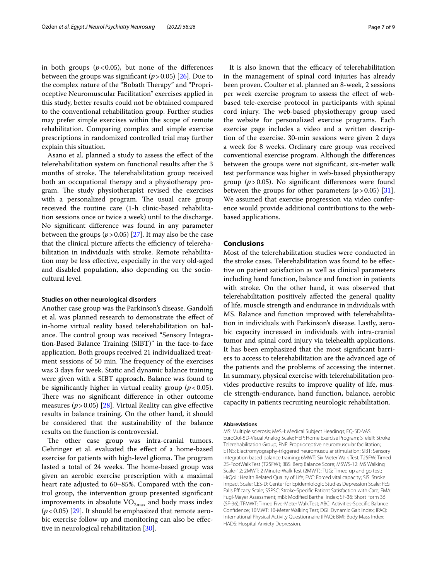in both groups  $(p<0.05)$ , but none of the differences between the groups was significant  $(p > 0.05)$  [[26\]](#page-7-25). Due to the complex nature of the "Bobath Therapy" and "Proprioceptive Neuromuscular Facilitation" exercises applied in this study, better results could not be obtained compared to the conventional rehabilitation group. Further studies may prefer simple exercises within the scope of remote rehabilitation. Comparing complex and simple exercise prescriptions in randomized controlled trial may further explain this situation.

Asano et al. planned a study to assess the efect of the telerehabilitation system on functional results after the 3 months of stroke. The telerehabilitation group received both an occupational therapy and a physiotherapy program. The study physiotherapist revised the exercises with a personalized program. The usual care group received the routine care (1-h clinic-based rehabilitation sessions once or twice a week) until to the discharge. No signifcant diference was found in any parameter between the groups  $(p > 0.05)$  [\[27](#page-7-26)]. It may also be the case that the clinical picture affects the efficiency of telerehabilitation in individuals with stroke. Remote rehabilitation may be less efective, especially in the very old-aged and disabled population, also depending on the sociocultural level.

#### **Studies on other neurological disorders**

Another case group was the Parkinson's disease. Gandolf et al. was planned research to demonstrate the efect of in-home virtual reality based telerehabilitation on balance. The control group was received "Sensory Integration-Based Balance Training (SIBT)" in the face-to-face application. Both groups received 21 individualized treatment sessions of 50 min. The frequency of the exercises was 3 days for week. Static and dynamic balance training were given with a SIBT approach. Balance was found to be significantly higher in virtual reality group  $(p < 0.05)$ . There was no significant difference in other outcome measures  $(p > 0.05)$  [\[28](#page-7-27)]. Virtual Reality can give effective results in balance training. On the other hand, it should be considered that the sustainability of the balance results on the function is controversial.

The other case group was intra-cranial tumors. Gehringer et al. evaluated the efect of a home-based exercise for patients with high-level glioma. The program lasted a total of 24 weeks. The home-based group was given an aerobic exercise prescription with a maximal heart rate adjusted to 60–85%. Compared with the control group, the intervention group presented signifcant improvements in absolute  $\rm VO_{2max}$  and body mass index (*p*<0.05) [[29\]](#page-7-28). It should be emphasized that remote aerobic exercise follow-up and monitoring can also be efective in neurological rehabilitation [[30\]](#page-7-29).

It is also known that the efficacy of telerehabilitation in the management of spinal cord injuries has already been proven. Coulter et al. planned an 8-week, 2 sessions per week exercise program to assess the efect of webbased tele-exercise protocol in participants with spinal cord injury. The web-based physiotherapy group used the website for personalized exercise programs. Each exercise page includes a video and a written description of the exercise. 30-min sessions were given 2 days a week for 8 weeks. Ordinary care group was received conventional exercise program. Although the diferences between the groups were not signifcant, six-meter walk test performance was higher in web-based physiotherapy group (*p*>0.05). No signifcant diferences were found between the groups for other parameters  $(p > 0.05)$  [\[31](#page-8-0)]. We assumed that exercise progression via video conference would provide additional contributions to the webbased applications.

## **Conclusions**

Most of the telerehabilitation studies were conducted in the stroke cases. Telerehabilitation was found to be efective on patient satisfaction as well as clinical parameters including hand function, balance and function in patients with stroke. On the other hand, it was observed that telerehabilitation positively afected the general quality of life, muscle strength and endurance in individuals with MS. Balance and function improved with telerehabilitation in individuals with Parkinson's disease. Lastly, aerobic capacity increased in individuals with intra-cranial tumor and spinal cord injury via telehealth applications. It has been emphasized that the most signifcant barriers to access to telerehabilitation are the advanced age of the patients and the problems of accessing the internet. In summary, physical exercise with telerehabilitation provides productive results to improve quality of life, muscle strength-endurance, hand function, balance, aerobic capacity in patients recruiting neurologic rehabilitation.

#### **Abbreviations**

MS: Multiple sclerosis; MeSH: Medical Subject Headings; EQ-5D-VAS: EuroQol-5D-Visual Analog Scale; HEP: Home Exercise Program; STeleR: Stroke Telerehabilitation Group; PNF: Proprioceptive neuromuscular facilitation; ETNS: Electromyography-triggered neuromuscular stimulation; SIBT: Sensory integration based balance training; 6MWT: Six Meter Walk Test; T25FW: Timed 25-FootWalk Test (T25FW); BBS: Berg Balance Score; MSWS-12: MS Walking Scale-12; 2MWT: 2 Minute-Walk Test (2MWT); TUG: Timed up and go test; HrQoL: Health Related Quality of Life; FVC: Forced vital capacity; SIS: Stroke Impact Scale; CES-D: Center for Epidemiologic Studies Depression Scale; FES: Falls Efficacy Scale; SSPSC: Stroke-Specific Patient Satisfaction with Care; FMA: Fugl-Meyer Assessment; mBI: Modifed Barthel Index; SF-36: Short Form 36 (SF-36); TFMWT: Timed Five-Meter Walk Test; ABC: Activities-Specifc Balance Confdence; 10MWT: 10-Meter Walking Test; DGI: Dynamic Gait Index; IPAQ: International Physical Activity Questionnaire (IPAQ); BMI: Body Mass Index; HADS: Hospital Anxiety Depression.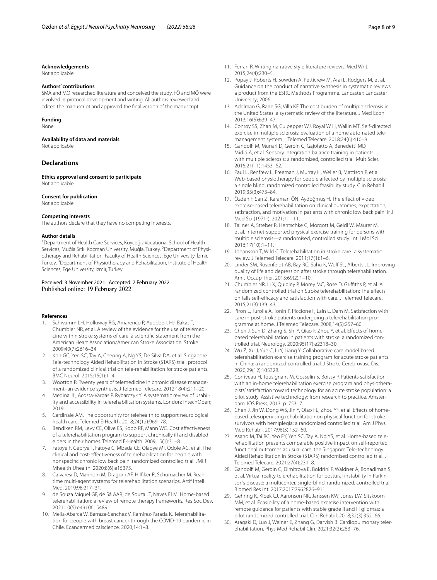#### **Acknowledgements**

Not applicable.

#### **Authors' contributions**

SMA and MÖ researched literature and conceived the study. FÖ and MÖ were involved in protocol development and writing. All authors reviewed and edited the manuscript and approved the fnal version of the manuscript.

#### **Funding**

None.

#### **Availability of data and materials**

Not applicable.

#### **Declarations**

**Ethics approval and consent to participate** Not applicable.

#### **Consent for publication**

Not applicable.

#### **Competing interests**

The authors declare that they have no competing interests.

#### **Author details**

<sup>1</sup> Department of Health Care Services, Köyceğiz Vocational School of Health Services, Muğla Sıtkı Koçman University, Muğla, Turkey. <sup>2</sup>Department of Physiotherapy and Rehabilitation, Faculty of Health Sciences, Ege University, İzmir, Turkey. <sup>3</sup> Department of Physiotherapy and Rehabilitation, Institute of Health Sciences, Ege University, İzmir, Turkey.

Received: 3 November 2021 Accepted: 7 February 2022 Published online: 19 February 2022

#### **References**

- <span id="page-7-0"></span>Schwamm LH, Holloway RG, Amarenco P, Audebert HJ, Bakas T, Chumbler NR, et al. A review of the evidence for the use of telemedicine within stroke systems of care: a scientifc statement from the American Heart Association/American Stroke Association. Stroke. 2009;40(7):2616–34.
- <span id="page-7-1"></span>2. Koh GC, Yen SC, Tay A, Cheong A, Ng YS, De Silva DA, et al. Singapore Tele-technology Aided Rehabilitation in Stroke (STARS) trial: protocol of a randomized clinical trial on tele-rehabilitation for stroke patients. BMC Neurol. 2015;15(1):1–4.
- <span id="page-7-2"></span>3. Wootton R. Twenty years of telemedicine in chronic disease management–an evidence synthesis. J Telemed Telecare. 2012;18(4):211–20.
- <span id="page-7-3"></span>4. Medina JL, Acosta-Vargas P, Rybarczyk Y. A systematic review of usability and accessibility in telerehabilitation systems. London: IntechOpen; 2019.
- <span id="page-7-4"></span>5. Cardinale AM. The opportunity for telehealth to support neurological health care. Telemed E-Health. 2018;24(12):969–78.
- <span id="page-7-5"></span>6. Bendixen RM, Levy CE, Olive ES, Kobb RF, Mann WC. Cost efectiveness of a telerehabilitation program to support chronically ill and disabled elders in their homes. Telemed E-Health. 2009;15(1):31–8.
- <span id="page-7-6"></span>7. Fatoye F, Gebrye T, Fatoye C, Mbada CE, Olaoye MI, Odole AC, et al. The clinical and cost-efectiveness of telerehabilitation for people with nonspecifc chronic low back pain: randomized controlled trial. JMIR Mhealth Uhealth. 2020;8(6):e15375.
- <span id="page-7-7"></span>8. Calvaresi D, Marinoni M, Dragoni AF, Hilfker R, Schumacher M. Realtime multi-agent systems for telerehabilitation scenarios. Artif Intell Med. 2019;96:217–31.
- <span id="page-7-8"></span>de Souza Miguel GF, de Sá AAR, de Souza JT, Naves ELM. Home-based telerehabilitation: a review of remote therapy frameworks. Res Soc Dev. 2021;10(6):e4910615489.
- <span id="page-7-9"></span>10. Mella-Abarca W, Barraza-Sánchez V, Ramírez-Parada K. Telerehabilitation for people with breast cancer through the COVID-19 pandemic in Chile. Ecancermedicalscience. 2020;14:1–8.
- <span id="page-7-10"></span>11. Ferrari R. Writing narrative style literature reviews. Med Writ. 2015;24(4):230–5.
- <span id="page-7-11"></span>12. Popay J, Roberts H, Sowden A, Petticrew M, Arai L, Rodgers M, et al. Guidance on the conduct of narrative synthesis in systematic reviews: a product from the ESRC Methods Programme. Lancaster: Lancaster University; 2006.
- <span id="page-7-12"></span>13. Adelman G, Rane SG, Villa KF. The cost burden of multiple sclerosis in the United States: a systematic review of the literature. J Med Econ. 2013;16(5):639–47.
- <span id="page-7-13"></span>14. Conroy SS, Zhan M, Culpepper WJ, Royal W III, Wallin MT. Self-directed exercise in multiple sclerosis: evaluation of a home automated telemanagement system. J Telemed Telecare. 2018;24(6):410–9.
- <span id="page-7-14"></span>15. Gandolf M, Munari D, Geroin C, Gajofatto A, Benedetti MD, Midiri A, et al. Sensory integration balance training in patients with multiple sclerosis: a randomized, controlled trial. Mult Scler. 2015;21(11):1453–62.
- <span id="page-7-15"></span>16. Paul L, Renfrew L, Freeman J, Murray H, Weller B, Mattison P, et al. Web-based physiotherapy for people affected by multiple sclerosis: a single blind, randomized controlled feasibility study. Clin Rehabil. 2019;33(3):473–84.
- <span id="page-7-16"></span>17. Özden F, Sarı Z, Karaman ÖN, Aydoğmuş H. The efect of video exercise-based telerehabilitation on clinical outcomes, expectation, satisfaction, and motivation in patients with chronic low back pain. Ir J Med Sci (1971-). 2021;1:1–11.
- <span id="page-7-17"></span>18. Tallner A, Streber R, Hentschke C, Morgott M, Geidl W, Mäurer M, et al. Internet-supported physical exercise training for persons with multiple sclerosis—a randomised, controlled study. Int J Mol Sci. 2016;17(10):1–11.
- <span id="page-7-18"></span>19. Johansson T, Wild C. Telerehabilitation in stroke care–a systematic review. J Telemed Telecare. 2011;17(1):1–6.
- <span id="page-7-19"></span>20. Linder SM, Rosenfeldt AB, Bay RC, Sahu K, Wolf SL, Alberts JL. Improving quality of life and depression after stroke through telerehabilitation. Am J Occup Ther. 2015;69(2):1–10.
- <span id="page-7-20"></span>21. Chumbler NR, Li X, Quigley P, Morey MC, Rose D, Grifths P, et al. A randomized controlled trial on Stroke telerehabilitation: The efects on falls self-efficacy and satisfaction with care. J Telemed Telecare. 2015;21(3):139–43.
- <span id="page-7-21"></span>22. Piron L, Turolla A, Tonin P, Piccione F, Lain L, Dam M. Satisfaction with care in post-stroke patients undergoing a telerehabilitation programme at home. J Telemed Telecare. 2008;14(5):257–60.
- <span id="page-7-22"></span>23. Chen J, Sun D, Zhang S, Shi Y, Qiao F, Zhou Y, et al. Efects of homebased telerehabilitation in patients with stroke: a randomized controlled trial. Neurology. 2020;95(17):e2318–30.
- <span id="page-7-23"></span>24. Wu Z, Xu J, Yue C, Li Y, Liang Y. Collaborative care model based telerehabilitation exercise training program for acute stroke patients in China: a randomized controlled trial. J Stroke Cerebrovasc Dis. 2020;29(12):105328.
- <span id="page-7-24"></span>25. Corriveau H, Tousignant M, Gosselin S, Boissy P. Patients satisfaction with an in-home telerehabilitation exercise program and physiotherapists' satisfaction toward technology for an acute stroke population: a pilot study. Assistive technology: from research to practice. Amsterdam: IOS Press; 2013. p. 753–7.
- <span id="page-7-25"></span>26. Chen J, Jin W, Dong WS, Jin Y, Qiao FL, Zhou YF, et al. Efects of homebased telesupervising rehabilitation on physical function for stroke survivors with hemiplegia: a randomized controlled trial. Am J Phys Med Rehabil. 2017;96(3):152–60.
- <span id="page-7-26"></span>27. Asano M, Tai BC, Yeo FY, Yen SC, Tay A, Ng YS, et al. Home-based telerehabilitation presents comparable positive impact on self-reported functional outcomes as usual care: the Singapore Tele-technology Aided Rehabilitation in Stroke (STARS) randomised controlled trial. J Telemed Telecare. 2021;27(4):231–8.
- <span id="page-7-27"></span>28. Gandolf M, Geroin C, Dimitrova E, Boldrini P, Waldner A, Bonadiman S, et al. Virtual reality telerehabilitation for postural instability in Parkinson's disease: a multicenter, single-blind, randomized, controlled trial. Biomed Res Int. 2017;2017:7962826–911.
- <span id="page-7-28"></span>29. Gehring K, Kloek CJ, Aaronson NK, Janssen KW, Jones LW, Sitskoorn MM, et al. Feasibility of a home-based exercise intervention with remote guidance for patients with stable grade II and III gliomas: a pilot randomized controlled trial. Clin Rehabil. 2018;32(3):352–66.
- <span id="page-7-29"></span>30. Aragaki D, Luo J, Weiner E, Zhang G, Darvish B. Cardiopulmonary telerehabilitation. Phys Med Rehabil Clin. 2021;32(2):263–76.